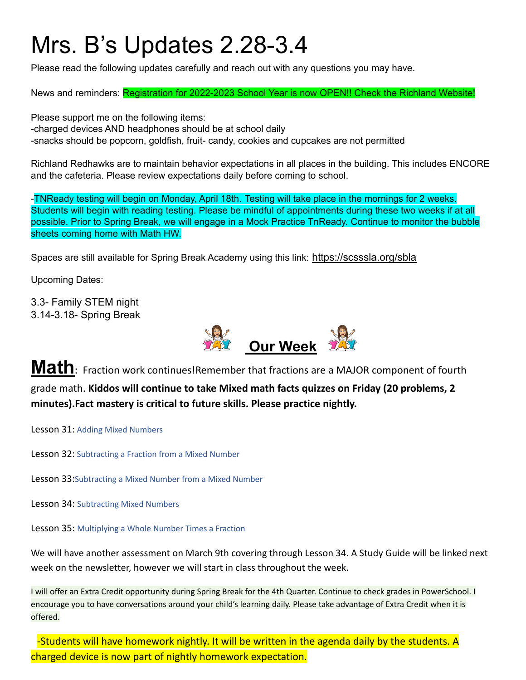# Mrs. B's Updates 2.28-3.4

Please read the following updates carefully and reach out with any questions you may have.

News and reminders: Registration for 2022-2023 School Year is now OPEN!! Check the Richland Website!

Please support me on the following items: -charged devices AND headphones should be at school daily -snacks should be popcorn, goldfish, fruit- candy, cookies and cupcakes are not permitted

Richland Redhawks are to maintain behavior expectations in all places in the building. This includes ENCORE and the cafeteria. Please review expectations daily before coming to school.

-TNReady testing will begin on Monday, April 18th. Testing will take place in the mornings for 2 weeks. Students will begin with reading testing. Please be mindful of appointments during these two weeks if at all possible. Prior to Spring Break, we will engage in a Mock Practice TnReady. Continue to monitor the bubble sheets coming home with Math HW.

Spaces are still available for Spring Break Academy using this link: <https://scsssla.org/sbla>

Upcoming Dates:

3.3- Family STEM night 3.14-3.18- Spring Break



**Math:** Fraction work continues!Remember that fractions are <sup>a</sup> MAJOR component of fourth grade math. **Kiddos will continue to take Mixed math facts quizzes on Friday (20 problems, 2 minutes).Fact mastery is critical to future skills. Please practice nightly.**

Lesson 31: Adding Mixed Numbers

Lesson 32: Subtracting a Fraction from a Mixed Number

Lesson 33:Subtracting a Mixed Number from a Mixed Number

Lesson 34: Subtracting Mixed Numbers

Lesson 35: Multiplying a Whole Number Times a Fraction

We will have another assessment on March 9th covering through Lesson 34. A Study Guide will be linked next week on the newsletter, however we will start in class throughout the week.

I will offer an Extra Credit opportunity during Spring Break for the 4th Quarter. Continue to check grades in PowerSchool. I encourage you to have conversations around your child's learning daily. Please take advantage of Extra Credit when it is offered.

-Students will have homework nightly. It will be written in the agenda daily by the students. A charged device is now part of nightly homework expectation.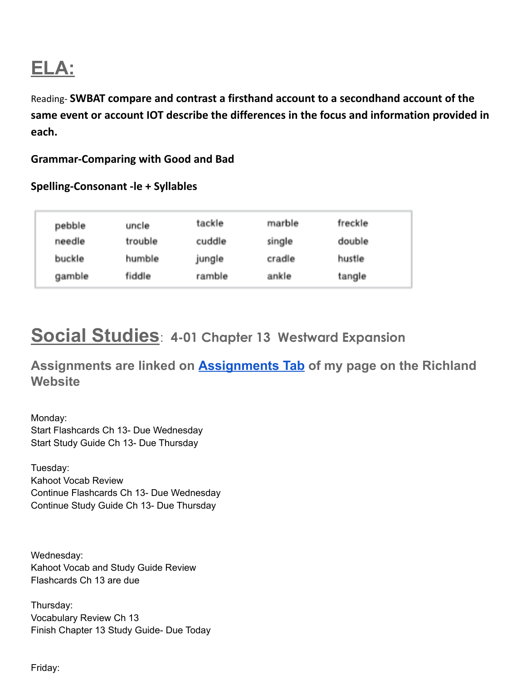# **ELA:**

Reading- **SWBAT compare and contrast a firsthand account to a secondhand account of the same event or account IOT describe the differences in the focus and information provided in each.**

#### **Grammar-Comparing with Good and Bad**

#### **Spelling-Consonant -le + Syllables**

| pebble | uncle   | tackle | marble | freckle |
|--------|---------|--------|--------|---------|
| needle | trouble | cuddle | single | double  |
| buckle | humble  | jungle | cradle | hustle  |
| gamble | fiddle  | ramble | ankle  | tangle  |

### **Social Studies**: **4-01 Chapter 13 Westward Expansion**

**Assignments are linked on [Assignments Tab](https://schools.scsk12.org/Page/14428) of my page on the Richland Website**

Monday: Start Flashcards Ch 13- Due Wednesday Start Study Guide Ch 13- Due Thursday

Tuesday: Kahoot Vocab Review Continue Flashcards Ch 13- Due Wednesday Continue Study Guide Ch 13- Due Thursday

Wednesday: Kahoot Vocab and Study Guide Review Flashcards Ch 13 are due

Thursday: Vocabulary Review Ch 13 Finish Chapter 13 Study Guide- Due Today

Friday: